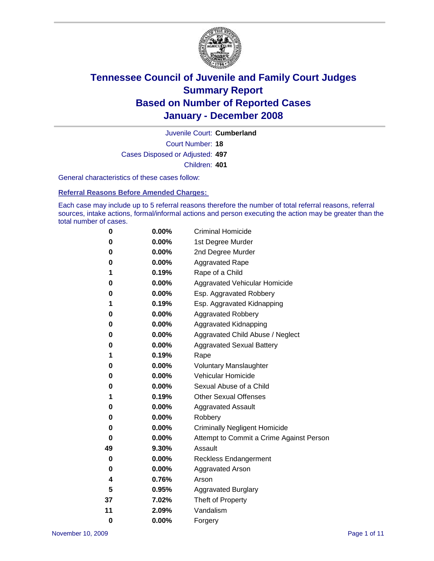

Court Number: **18** Juvenile Court: **Cumberland** Cases Disposed or Adjusted: **497** Children: **401**

General characteristics of these cases follow:

**Referral Reasons Before Amended Charges:** 

Each case may include up to 5 referral reasons therefore the number of total referral reasons, referral sources, intake actions, formal/informal actions and person executing the action may be greater than the total number of cases.

| 0        | 0.00%    | <b>Criminal Homicide</b>                 |
|----------|----------|------------------------------------------|
| 0        | 0.00%    | 1st Degree Murder                        |
| 0        | $0.00\%$ | 2nd Degree Murder                        |
| 0        | 0.00%    | <b>Aggravated Rape</b>                   |
| 1        | 0.19%    | Rape of a Child                          |
| 0        | 0.00%    | Aggravated Vehicular Homicide            |
| 0        | 0.00%    | Esp. Aggravated Robbery                  |
| 1        | 0.19%    | Esp. Aggravated Kidnapping               |
| 0        | 0.00%    | <b>Aggravated Robbery</b>                |
| 0        | 0.00%    | Aggravated Kidnapping                    |
| 0        | 0.00%    | Aggravated Child Abuse / Neglect         |
| 0        | $0.00\%$ | <b>Aggravated Sexual Battery</b>         |
| 1        | 0.19%    | Rape                                     |
| 0        | 0.00%    | <b>Voluntary Manslaughter</b>            |
| 0        | 0.00%    | Vehicular Homicide                       |
| 0        | 0.00%    | Sexual Abuse of a Child                  |
| 1        | 0.19%    | <b>Other Sexual Offenses</b>             |
| 0        | 0.00%    | <b>Aggravated Assault</b>                |
| 0        | $0.00\%$ | Robbery                                  |
| 0        | 0.00%    | <b>Criminally Negligent Homicide</b>     |
| 0        | 0.00%    | Attempt to Commit a Crime Against Person |
| 49       | 9.30%    | Assault                                  |
| 0        | 0.00%    | <b>Reckless Endangerment</b>             |
| 0        | 0.00%    | <b>Aggravated Arson</b>                  |
| 4        | 0.76%    | Arson                                    |
| 5        | 0.95%    | <b>Aggravated Burglary</b>               |
| 37       | 7.02%    | Theft of Property                        |
| 11       | 2.09%    | Vandalism                                |
| $\bf{0}$ | 0.00%    | Forgery                                  |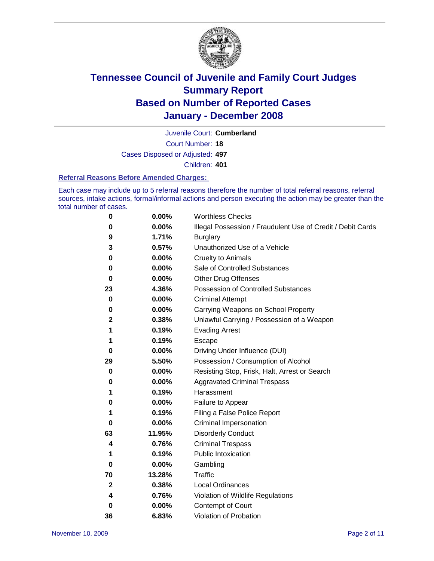

Court Number: **18** Juvenile Court: **Cumberland** Cases Disposed or Adjusted: **497** Children: **401**

#### **Referral Reasons Before Amended Charges:**

Each case may include up to 5 referral reasons therefore the number of total referral reasons, referral sources, intake actions, formal/informal actions and person executing the action may be greater than the total number of cases.

| 0            | 0.00%  | <b>Worthless Checks</b>                                     |
|--------------|--------|-------------------------------------------------------------|
| 0            | 0.00%  | Illegal Possession / Fraudulent Use of Credit / Debit Cards |
| 9            | 1.71%  | <b>Burglary</b>                                             |
| 3            | 0.57%  | Unauthorized Use of a Vehicle                               |
| 0            | 0.00%  | <b>Cruelty to Animals</b>                                   |
| 0            | 0.00%  | Sale of Controlled Substances                               |
| $\bf{0}$     | 0.00%  | <b>Other Drug Offenses</b>                                  |
| 23           | 4.36%  | <b>Possession of Controlled Substances</b>                  |
| 0            | 0.00%  | <b>Criminal Attempt</b>                                     |
| 0            | 0.00%  | Carrying Weapons on School Property                         |
| $\mathbf 2$  | 0.38%  | Unlawful Carrying / Possession of a Weapon                  |
| 1            | 0.19%  | <b>Evading Arrest</b>                                       |
| 1            | 0.19%  | Escape                                                      |
| 0            | 0.00%  | Driving Under Influence (DUI)                               |
| 29           | 5.50%  | Possession / Consumption of Alcohol                         |
| 0            | 0.00%  | Resisting Stop, Frisk, Halt, Arrest or Search               |
| 0            | 0.00%  | <b>Aggravated Criminal Trespass</b>                         |
| 1            | 0.19%  | Harassment                                                  |
| 0            | 0.00%  | Failure to Appear                                           |
| 1            | 0.19%  | Filing a False Police Report                                |
| 0            | 0.00%  | Criminal Impersonation                                      |
| 63           | 11.95% | <b>Disorderly Conduct</b>                                   |
| 4            | 0.76%  | <b>Criminal Trespass</b>                                    |
| 1            | 0.19%  | <b>Public Intoxication</b>                                  |
| 0            | 0.00%  | Gambling                                                    |
| 70           | 13.28% | Traffic                                                     |
| $\mathbf{2}$ | 0.38%  | <b>Local Ordinances</b>                                     |
| 4            | 0.76%  | Violation of Wildlife Regulations                           |
| $\bf{0}$     | 0.00%  | Contempt of Court                                           |
| 36           | 6.83%  | Violation of Probation                                      |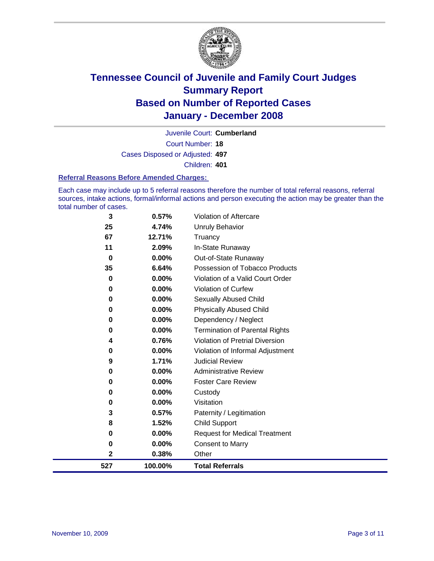

Court Number: **18** Juvenile Court: **Cumberland** Cases Disposed or Adjusted: **497** Children: **401**

#### **Referral Reasons Before Amended Charges:**

Each case may include up to 5 referral reasons therefore the number of total referral reasons, referral sources, intake actions, formal/informal actions and person executing the action may be greater than the total number of cases.

| 3           | 0.57%    | Violation of Aftercare                 |
|-------------|----------|----------------------------------------|
| 25          | 4.74%    | <b>Unruly Behavior</b>                 |
| 67          | 12.71%   | Truancy                                |
| 11          | 2.09%    | In-State Runaway                       |
| $\bf{0}$    | 0.00%    | Out-of-State Runaway                   |
| 35          | 6.64%    | Possession of Tobacco Products         |
| 0           | $0.00\%$ | Violation of a Valid Court Order       |
| 0           | 0.00%    | Violation of Curfew                    |
| 0           | $0.00\%$ | Sexually Abused Child                  |
| 0           | $0.00\%$ | <b>Physically Abused Child</b>         |
| 0           | $0.00\%$ | Dependency / Neglect                   |
| 0           | $0.00\%$ | <b>Termination of Parental Rights</b>  |
| 4           | 0.76%    | <b>Violation of Pretrial Diversion</b> |
| 0           | $0.00\%$ | Violation of Informal Adjustment       |
| 9           | 1.71%    | <b>Judicial Review</b>                 |
| 0           | $0.00\%$ | <b>Administrative Review</b>           |
| 0           | $0.00\%$ | <b>Foster Care Review</b>              |
| 0           | $0.00\%$ | Custody                                |
| 0           | 0.00%    | Visitation                             |
| 3           | 0.57%    | Paternity / Legitimation               |
| 8           | 1.52%    | <b>Child Support</b>                   |
| 0           | $0.00\%$ | <b>Request for Medical Treatment</b>   |
| 0           | 0.00%    | <b>Consent to Marry</b>                |
| $\mathbf 2$ | 0.38%    | Other                                  |
| 527         | 100.00%  | <b>Total Referrals</b>                 |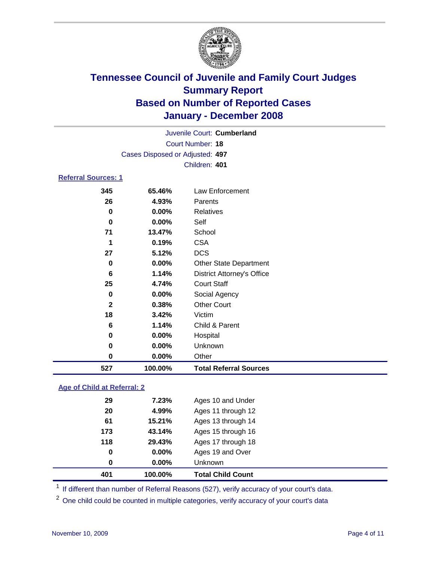

Court Number: **18** Juvenile Court: **Cumberland** Cases Disposed or Adjusted: **497** Children: **401**

### **Referral Sources: 1**

| 527          | 100.00% | <b>Total Referral Sources</b>     |
|--------------|---------|-----------------------------------|
| 0            | 0.00%   | Other                             |
| 0            | 0.00%   | Unknown                           |
| 0            | 0.00%   | Hospital                          |
| 6            | 1.14%   | Child & Parent                    |
| 18           | 3.42%   | Victim                            |
| $\mathbf{2}$ | 0.38%   | <b>Other Court</b>                |
| 0            | 0.00%   | Social Agency                     |
| 25           | 4.74%   | <b>Court Staff</b>                |
| 6            | 1.14%   | <b>District Attorney's Office</b> |
| 0            | 0.00%   | <b>Other State Department</b>     |
| 27           | 5.12%   | <b>DCS</b>                        |
| 1            | 0.19%   | <b>CSA</b>                        |
| 71           | 13.47%  | School                            |
| $\mathbf 0$  | 0.00%   | Self                              |
| 0            | 0.00%   | Relatives                         |
| 26           | 4.93%   | Parents                           |
|              | 65.46%  | Law Enforcement                   |
|              | 345     |                                   |

### **Age of Child at Referral: 2**

| 0   | 0.00%  | <b>Unknown</b>     |
|-----|--------|--------------------|
| 0   | 0.00%  | Ages 19 and Over   |
| 118 | 29.43% | Ages 17 through 18 |
| 173 | 43.14% | Ages 15 through 16 |
| 61  | 15.21% | Ages 13 through 14 |
| 20  | 4.99%  | Ages 11 through 12 |
| 29  | 7.23%  | Ages 10 and Under  |
|     |        |                    |

<sup>1</sup> If different than number of Referral Reasons (527), verify accuracy of your court's data.

<sup>2</sup> One child could be counted in multiple categories, verify accuracy of your court's data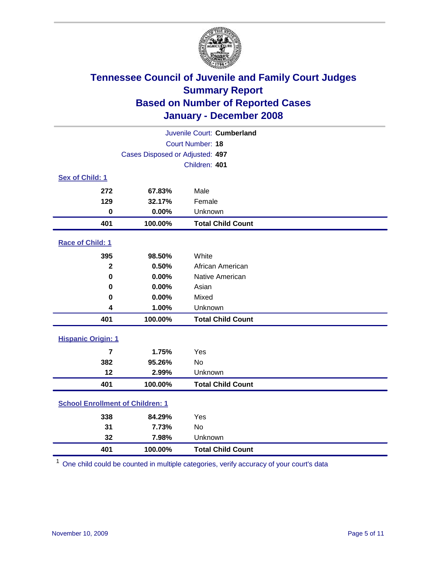

| Juvenile Court: Cumberland              |                                 |                          |  |  |  |
|-----------------------------------------|---------------------------------|--------------------------|--|--|--|
| Court Number: 18                        |                                 |                          |  |  |  |
|                                         | Cases Disposed or Adjusted: 497 |                          |  |  |  |
|                                         |                                 | Children: 401            |  |  |  |
| Sex of Child: 1                         |                                 |                          |  |  |  |
| 272                                     | 67.83%                          | Male                     |  |  |  |
| 129                                     | 32.17%                          | Female                   |  |  |  |
| $\bf{0}$                                | 0.00%                           | Unknown                  |  |  |  |
| 401                                     | 100.00%                         | <b>Total Child Count</b> |  |  |  |
| Race of Child: 1                        |                                 |                          |  |  |  |
| 395                                     | 98.50%                          | White                    |  |  |  |
| $\overline{\mathbf{2}}$                 | 0.50%                           | African American         |  |  |  |
| $\bf{0}$                                | 0.00%                           | Native American          |  |  |  |
| 0                                       | 0.00%                           | Asian                    |  |  |  |
| 0                                       | 0.00%                           | Mixed                    |  |  |  |
| 4                                       | 1.00%                           | Unknown                  |  |  |  |
| 401                                     | 100.00%                         | <b>Total Child Count</b> |  |  |  |
| <b>Hispanic Origin: 1</b>               |                                 |                          |  |  |  |
| $\overline{7}$                          | 1.75%                           | Yes                      |  |  |  |
| 382                                     | 95.26%                          | No                       |  |  |  |
| 12                                      | 2.99%                           | Unknown                  |  |  |  |
| 401                                     | 100.00%                         | <b>Total Child Count</b> |  |  |  |
| <b>School Enrollment of Children: 1</b> |                                 |                          |  |  |  |
| 338                                     | 84.29%                          | Yes                      |  |  |  |
| 31                                      | 7.73%                           | No                       |  |  |  |
| 32                                      | 7.98%                           | Unknown                  |  |  |  |
| 401                                     | 100.00%                         | <b>Total Child Count</b> |  |  |  |

One child could be counted in multiple categories, verify accuracy of your court's data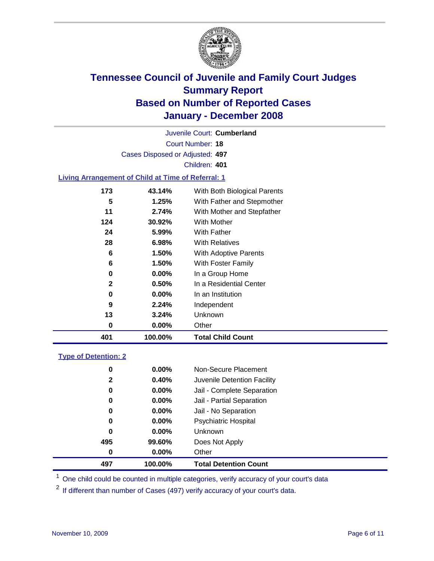

Court Number: **18** Juvenile Court: **Cumberland** Cases Disposed or Adjusted: **497** Children: **401 Living Arrangement of Child at Time of Referral: 1 43.14%** With Both Biological Parents **1.25%** With Father and Stepmother **2.74%** With Mother and Stepfather

| 401 | 100.00%  | <b>Total Child Count</b>             |
|-----|----------|--------------------------------------|
| 0   | $0.00\%$ | Other                                |
| 13  | 3.24%    | <b>Unknown</b>                       |
| 9   | 2.24%    | Independent                          |
| 0   | $0.00\%$ | In an Institution                    |
| 2   | 0.50%    | In a Residential Center              |
| 0   | $0.00\%$ | In a Group Home                      |
| 6   | 1.50%    | With Foster Family                   |
| 6   | 1.50%    | With Adoptive Parents                |
| 28  | 6.98%    | <b>With Relatives</b>                |
| 24  | 5.99%    | <b>With Father</b>                   |
| 124 | 30.92%   | <b>With Mother</b>                   |
| . . | Z.I470   | <i>v</i> itti mottler and Stepfather |

#### **Type of Detention: 2**

| 497          | 100.00%  | <b>Total Detention Count</b> |  |
|--------------|----------|------------------------------|--|
| 0            | $0.00\%$ | Other                        |  |
| 495          | 99.60%   | Does Not Apply               |  |
| 0            | $0.00\%$ | <b>Unknown</b>               |  |
| 0            | 0.00%    | Psychiatric Hospital         |  |
| 0            | 0.00%    | Jail - No Separation         |  |
| 0            | $0.00\%$ | Jail - Partial Separation    |  |
| 0            | 0.00%    | Jail - Complete Separation   |  |
| $\mathbf{2}$ | 0.40%    | Juvenile Detention Facility  |  |
| 0            | $0.00\%$ | Non-Secure Placement         |  |
|              |          |                              |  |

<sup>1</sup> One child could be counted in multiple categories, verify accuracy of your court's data

<sup>2</sup> If different than number of Cases (497) verify accuracy of your court's data.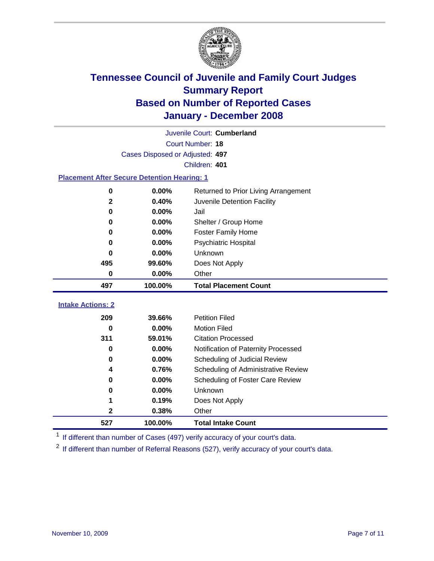

|                                                    | Juvenile Court: Cumberland      |                                      |  |  |  |
|----------------------------------------------------|---------------------------------|--------------------------------------|--|--|--|
|                                                    | Court Number: 18                |                                      |  |  |  |
|                                                    | Cases Disposed or Adjusted: 497 |                                      |  |  |  |
|                                                    |                                 | Children: 401                        |  |  |  |
| <b>Placement After Secure Detention Hearing: 1</b> |                                 |                                      |  |  |  |
| 0                                                  | 0.00%                           | Returned to Prior Living Arrangement |  |  |  |
| $\mathbf 2$                                        | 0.40%                           | Juvenile Detention Facility          |  |  |  |
| 0                                                  | 0.00%                           | Jail                                 |  |  |  |
| 0                                                  | 0.00%                           | Shelter / Group Home                 |  |  |  |
| 0                                                  | 0.00%                           | <b>Foster Family Home</b>            |  |  |  |
| 0                                                  | 0.00%                           | <b>Psychiatric Hospital</b>          |  |  |  |
| 0                                                  | 0.00%                           | Unknown                              |  |  |  |
| 495                                                | 99.60%                          | Does Not Apply                       |  |  |  |
| 0                                                  | 0.00%                           | Other                                |  |  |  |
|                                                    |                                 |                                      |  |  |  |
| 497                                                | 100.00%                         | <b>Total Placement Count</b>         |  |  |  |
|                                                    |                                 |                                      |  |  |  |
| <b>Intake Actions: 2</b><br>209                    | 39.66%                          | <b>Petition Filed</b>                |  |  |  |
| 0                                                  | $0.00\%$                        | <b>Motion Filed</b>                  |  |  |  |
| 311                                                | 59.01%                          | <b>Citation Processed</b>            |  |  |  |
| 0                                                  | 0.00%                           | Notification of Paternity Processed  |  |  |  |
| 0                                                  | 0.00%                           | Scheduling of Judicial Review        |  |  |  |
| 4                                                  | 0.76%                           | Scheduling of Administrative Review  |  |  |  |
| 0                                                  | 0.00%                           | Scheduling of Foster Care Review     |  |  |  |
| 0                                                  | 0.00%                           | Unknown                              |  |  |  |
| 1                                                  | 0.19%                           | Does Not Apply                       |  |  |  |
| 2                                                  | 0.38%                           | Other                                |  |  |  |

<sup>1</sup> If different than number of Cases (497) verify accuracy of your court's data.

<sup>2</sup> If different than number of Referral Reasons (527), verify accuracy of your court's data.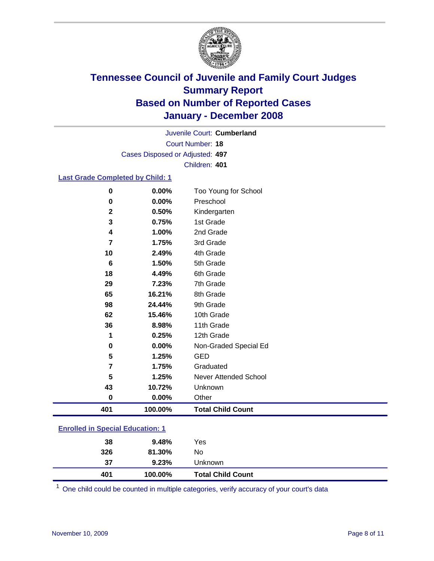

Court Number: **18** Juvenile Court: **Cumberland** Cases Disposed or Adjusted: **497** Children: **401**

#### **Last Grade Completed by Child: 1**

| 0              | 0.00%   | Too Young for School     |
|----------------|---------|--------------------------|
| 0              | 0.00%   | Preschool                |
| $\mathbf 2$    | 0.50%   | Kindergarten             |
| 3              | 0.75%   | 1st Grade                |
| 4              | 1.00%   | 2nd Grade                |
| 7              | 1.75%   | 3rd Grade                |
| 10             | 2.49%   | 4th Grade                |
| 6              | 1.50%   | 5th Grade                |
| 18             | 4.49%   | 6th Grade                |
| 29             | 7.23%   | 7th Grade                |
| 65             | 16.21%  | 8th Grade                |
| 98             | 24.44%  | 9th Grade                |
| 62             | 15.46%  | 10th Grade               |
| 36             | 8.98%   | 11th Grade               |
| 1              | 0.25%   | 12th Grade               |
| 0              | 0.00%   | Non-Graded Special Ed    |
| 5              | 1.25%   | <b>GED</b>               |
| $\overline{7}$ | 1.75%   | Graduated                |
| 5              | 1.25%   | Never Attended School    |
| 43             | 10.72%  | Unknown                  |
| $\bf{0}$       | 0.00%   | Other                    |
| 401            | 100.00% | <b>Total Child Count</b> |

### **Enrolled in Special Education: 1**

| 326 | 81.30%  | No                       |  |
|-----|---------|--------------------------|--|
| 37  | 9.23%   | Unknown                  |  |
| 401 | 100.00% | <b>Total Child Count</b> |  |

One child could be counted in multiple categories, verify accuracy of your court's data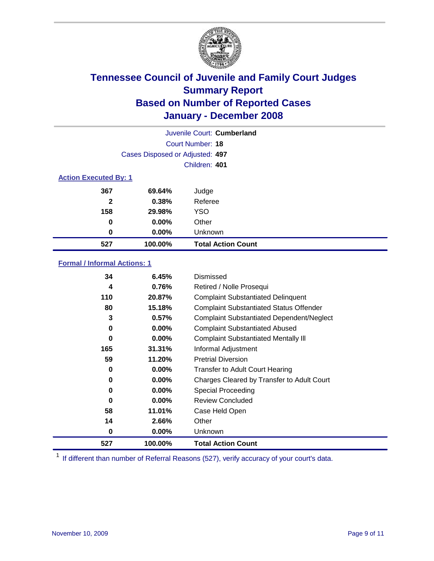

| Juvenile Court: Cumberland   |                                 |                           |  |  |  |
|------------------------------|---------------------------------|---------------------------|--|--|--|
|                              | Court Number: 18                |                           |  |  |  |
|                              | Cases Disposed or Adjusted: 497 |                           |  |  |  |
|                              | Children: 401                   |                           |  |  |  |
| <b>Action Executed By: 1</b> |                                 |                           |  |  |  |
| 367                          | 69.64%                          | Judge                     |  |  |  |
| $\mathbf{2}$                 | 0.38%                           | Referee                   |  |  |  |
| 158                          | 29.98%                          | <b>YSO</b>                |  |  |  |
| 0                            | 0.00%                           | Other                     |  |  |  |
| 0                            | $0.00\%$                        | Unknown                   |  |  |  |
| 527                          | 100.00%                         | <b>Total Action Count</b> |  |  |  |

### **Formal / Informal Actions: 1**

| 34  | 6.45%    | Dismissed                                        |
|-----|----------|--------------------------------------------------|
| 4   | 0.76%    | Retired / Nolle Prosequi                         |
| 110 | 20.87%   | <b>Complaint Substantiated Delinquent</b>        |
| 80  | 15.18%   | <b>Complaint Substantiated Status Offender</b>   |
| 3   | 0.57%    | <b>Complaint Substantiated Dependent/Neglect</b> |
| 0   | $0.00\%$ | <b>Complaint Substantiated Abused</b>            |
| 0   | $0.00\%$ | <b>Complaint Substantiated Mentally III</b>      |
| 165 | 31.31%   | Informal Adjustment                              |
| 59  | 11.20%   | <b>Pretrial Diversion</b>                        |
| 0   | $0.00\%$ | <b>Transfer to Adult Court Hearing</b>           |
| 0   | $0.00\%$ | Charges Cleared by Transfer to Adult Court       |
| 0   | $0.00\%$ | Special Proceeding                               |
| 0   | $0.00\%$ | <b>Review Concluded</b>                          |
| 58  | 11.01%   | Case Held Open                                   |
| 14  | 2.66%    | Other                                            |
| 0   | $0.00\%$ | <b>Unknown</b>                                   |
| 527 | 100.00%  | <b>Total Action Count</b>                        |

<sup>1</sup> If different than number of Referral Reasons (527), verify accuracy of your court's data.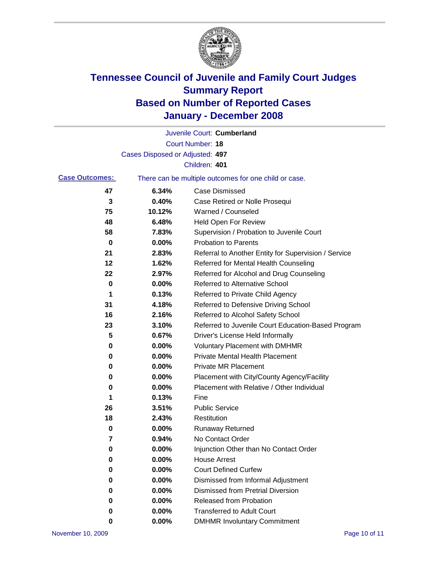

|                       |                                 | Juvenile Court: Cumberland                            |
|-----------------------|---------------------------------|-------------------------------------------------------|
|                       |                                 | Court Number: 18                                      |
|                       | Cases Disposed or Adjusted: 497 |                                                       |
|                       |                                 | Children: 401                                         |
| <b>Case Outcomes:</b> |                                 | There can be multiple outcomes for one child or case. |
| 47                    | 6.34%                           | <b>Case Dismissed</b>                                 |
| 3                     | 0.40%                           | Case Retired or Nolle Prosequi                        |
| 75                    | 10.12%                          | Warned / Counseled                                    |
| 48                    | 6.48%                           | Held Open For Review                                  |
| 58                    | 7.83%                           | Supervision / Probation to Juvenile Court             |
| 0                     | 0.00%                           | <b>Probation to Parents</b>                           |
| 21                    | 2.83%                           | Referral to Another Entity for Supervision / Service  |
| 12                    | 1.62%                           | Referred for Mental Health Counseling                 |
| 22                    | 2.97%                           | Referred for Alcohol and Drug Counseling              |
| 0                     | 0.00%                           | <b>Referred to Alternative School</b>                 |
| 1                     | 0.13%                           | Referred to Private Child Agency                      |
| 31                    | 4.18%                           | Referred to Defensive Driving School                  |
| 16                    | 2.16%                           | Referred to Alcohol Safety School                     |
| 23                    | 3.10%                           | Referred to Juvenile Court Education-Based Program    |
| 5                     | 0.67%                           | Driver's License Held Informally                      |
| 0                     | 0.00%                           | <b>Voluntary Placement with DMHMR</b>                 |
| 0                     | 0.00%                           | <b>Private Mental Health Placement</b>                |
| 0                     | 0.00%                           | <b>Private MR Placement</b>                           |
| 0                     | 0.00%                           | Placement with City/County Agency/Facility            |
| 0                     | 0.00%                           | Placement with Relative / Other Individual            |
| 1                     | 0.13%                           | Fine                                                  |
| 26                    | 3.51%                           | <b>Public Service</b>                                 |
| 18                    | 2.43%                           | Restitution                                           |
| 0                     | 0.00%                           | <b>Runaway Returned</b>                               |
| $\overline{7}$        | 0.94%                           | No Contact Order                                      |
| $\boldsymbol{0}$      | 0.00%                           | Injunction Other than No Contact Order                |
| 0                     | 0.00%                           | <b>House Arrest</b>                                   |
| 0                     | 0.00%                           | <b>Court Defined Curfew</b>                           |
| 0                     | 0.00%                           | Dismissed from Informal Adjustment                    |
| 0                     | 0.00%                           | <b>Dismissed from Pretrial Diversion</b>              |
| 0                     | 0.00%                           | Released from Probation                               |
| 0                     | 0.00%                           | <b>Transferred to Adult Court</b>                     |
| 0                     | 0.00%                           | <b>DMHMR Involuntary Commitment</b>                   |